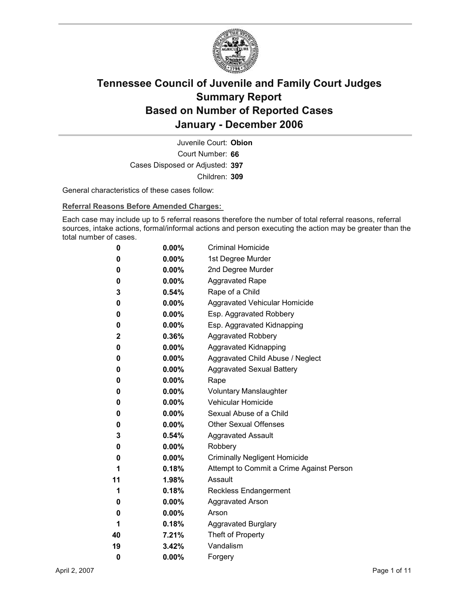

Court Number: **66** Juvenile Court: **Obion** Cases Disposed or Adjusted: **397** Children: **309**

General characteristics of these cases follow:

**Referral Reasons Before Amended Charges:** 

Each case may include up to 5 referral reasons therefore the number of total referral reasons, referral sources, intake actions, formal/informal actions and person executing the action may be greater than the total number of cases.

| 0            | $0.00\%$ | <b>Criminal Homicide</b>                 |
|--------------|----------|------------------------------------------|
| 0            | $0.00\%$ | 1st Degree Murder                        |
| 0            | $0.00\%$ | 2nd Degree Murder                        |
| 0            | $0.00\%$ | <b>Aggravated Rape</b>                   |
| 3            | $0.54\%$ | Rape of a Child                          |
| 0            | $0.00\%$ | Aggravated Vehicular Homicide            |
| 0            | $0.00\%$ | Esp. Aggravated Robbery                  |
| 0            | $0.00\%$ | Esp. Aggravated Kidnapping               |
| $\mathbf{2}$ | 0.36%    | <b>Aggravated Robbery</b>                |
| 0            | $0.00\%$ | <b>Aggravated Kidnapping</b>             |
| 0            | $0.00\%$ | Aggravated Child Abuse / Neglect         |
| 0            | $0.00\%$ | <b>Aggravated Sexual Battery</b>         |
| 0            | $0.00\%$ | Rape                                     |
| 0            | $0.00\%$ | <b>Voluntary Manslaughter</b>            |
| 0            | $0.00\%$ | <b>Vehicular Homicide</b>                |
| 0            | $0.00\%$ | Sexual Abuse of a Child                  |
| 0            | $0.00\%$ | <b>Other Sexual Offenses</b>             |
| 3            | $0.54\%$ | <b>Aggravated Assault</b>                |
| 0            | $0.00\%$ | Robbery                                  |
| 0            | $0.00\%$ | <b>Criminally Negligent Homicide</b>     |
| 1            | $0.18\%$ | Attempt to Commit a Crime Against Person |
| 11           | $1.98\%$ | Assault                                  |
| 1            | 0.18%    | <b>Reckless Endangerment</b>             |
| 0            | $0.00\%$ | <b>Aggravated Arson</b>                  |
| 0            | $0.00\%$ | Arson                                    |
| 1            | 0.18%    | <b>Aggravated Burglary</b>               |
| 40           | 7.21%    | Theft of Property                        |
| 19           | 3.42%    | Vandalism                                |
| 0            | 0.00%    | Forgery                                  |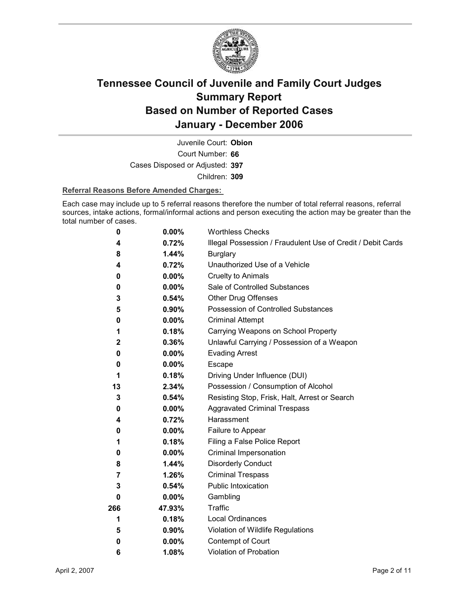

Court Number: **66** Juvenile Court: **Obion** Cases Disposed or Adjusted: **397** Children: **309**

### **Referral Reasons Before Amended Charges:**

Each case may include up to 5 referral reasons therefore the number of total referral reasons, referral sources, intake actions, formal/informal actions and person executing the action may be greater than the total number of cases.

| 0            | 0.00%    | <b>Worthless Checks</b>                                     |
|--------------|----------|-------------------------------------------------------------|
| 4            | 0.72%    | Illegal Possession / Fraudulent Use of Credit / Debit Cards |
| 8            | 1.44%    | <b>Burglary</b>                                             |
| 4            | 0.72%    | Unauthorized Use of a Vehicle                               |
| 0            | 0.00%    | <b>Cruelty to Animals</b>                                   |
| 0            | $0.00\%$ | Sale of Controlled Substances                               |
| 3            | 0.54%    | <b>Other Drug Offenses</b>                                  |
| 5            | $0.90\%$ | Possession of Controlled Substances                         |
| 0            | 0.00%    | <b>Criminal Attempt</b>                                     |
| 1            | 0.18%    | Carrying Weapons on School Property                         |
| $\mathbf{2}$ | 0.36%    | Unlawful Carrying / Possession of a Weapon                  |
| 0            | $0.00\%$ | <b>Evading Arrest</b>                                       |
| 0            | $0.00\%$ | Escape                                                      |
| 1            | 0.18%    | Driving Under Influence (DUI)                               |
| 13           | 2.34%    | Possession / Consumption of Alcohol                         |
| 3            | 0.54%    | Resisting Stop, Frisk, Halt, Arrest or Search               |
| 0            | $0.00\%$ | <b>Aggravated Criminal Trespass</b>                         |
| 4            | 0.72%    | Harassment                                                  |
| 0            | $0.00\%$ | Failure to Appear                                           |
| 1            | 0.18%    | Filing a False Police Report                                |
| 0            | $0.00\%$ | Criminal Impersonation                                      |
| 8            | 1.44%    | <b>Disorderly Conduct</b>                                   |
| 7            | 1.26%    | <b>Criminal Trespass</b>                                    |
| 3            | 0.54%    | <b>Public Intoxication</b>                                  |
| 0            | $0.00\%$ | Gambling                                                    |
| 266          | 47.93%   | Traffic                                                     |
| 1            | 0.18%    | <b>Local Ordinances</b>                                     |
| 5            | $0.90\%$ | Violation of Wildlife Regulations                           |
| 0            | $0.00\%$ | Contempt of Court                                           |
| 6            | 1.08%    | Violation of Probation                                      |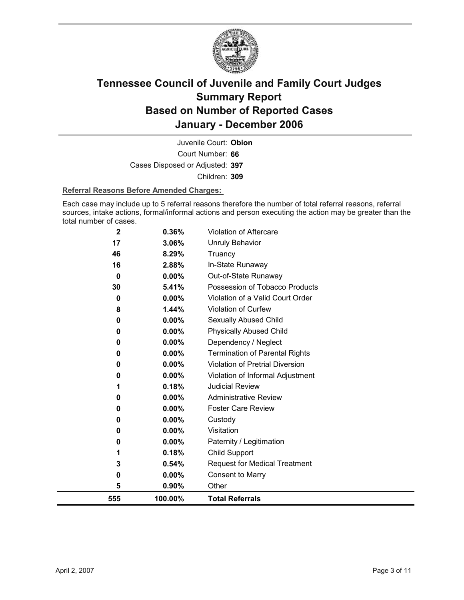

Court Number: **66** Juvenile Court: **Obion** Cases Disposed or Adjusted: **397** Children: **309**

### **Referral Reasons Before Amended Charges:**

Each case may include up to 5 referral reasons therefore the number of total referral reasons, referral sources, intake actions, formal/informal actions and person executing the action may be greater than the total number of cases.

| 1<br>3<br>0<br>5 | 0.18%<br>0.54%<br>0.00%<br>0.90%                                                   | Child Support<br><b>Request for Medical Treatment</b><br><b>Consent to Marry</b><br>Other                         |
|------------------|------------------------------------------------------------------------------------|-------------------------------------------------------------------------------------------------------------------|
|                  |                                                                                    |                                                                                                                   |
|                  |                                                                                    |                                                                                                                   |
|                  |                                                                                    |                                                                                                                   |
|                  |                                                                                    |                                                                                                                   |
| 0                | 0.00%                                                                              | Paternity / Legitimation                                                                                          |
| 0                | 0.00%                                                                              | Visitation                                                                                                        |
| 0                | 0.00%                                                                              | Custody                                                                                                           |
| 0                | $0.00\%$                                                                           | <b>Foster Care Review</b>                                                                                         |
| 0                | 0.00%                                                                              | <b>Administrative Review</b>                                                                                      |
| 1                | 0.18%                                                                              | <b>Judicial Review</b>                                                                                            |
| 0                | 0.00%                                                                              | Violation of Informal Adjustment                                                                                  |
| 0                |                                                                                    | Violation of Pretrial Diversion                                                                                   |
|                  |                                                                                    | <b>Termination of Parental Rights</b>                                                                             |
|                  |                                                                                    | Dependency / Neglect                                                                                              |
|                  |                                                                                    | <b>Physically Abused Child</b>                                                                                    |
|                  |                                                                                    | Sexually Abused Child                                                                                             |
|                  |                                                                                    | Violation of Curfew                                                                                               |
|                  |                                                                                    | Violation of a Valid Court Order                                                                                  |
|                  |                                                                                    | Out-of-State Runaway<br>Possession of Tobacco Products                                                            |
|                  |                                                                                    | In-State Runaway                                                                                                  |
|                  |                                                                                    | Truancy                                                                                                           |
|                  |                                                                                    | <b>Unruly Behavior</b>                                                                                            |
|                  |                                                                                    | Violation of Aftercare                                                                                            |
|                  | $\overline{\mathbf{2}}$<br>17<br>46<br>16<br>0<br>30<br>0<br>8<br>0<br>0<br>0<br>0 | 0.36%<br>3.06%<br>8.29%<br>2.88%<br>0.00%<br>5.41%<br>0.00%<br>1.44%<br>0.00%<br>0.00%<br>0.00%<br>0.00%<br>0.00% |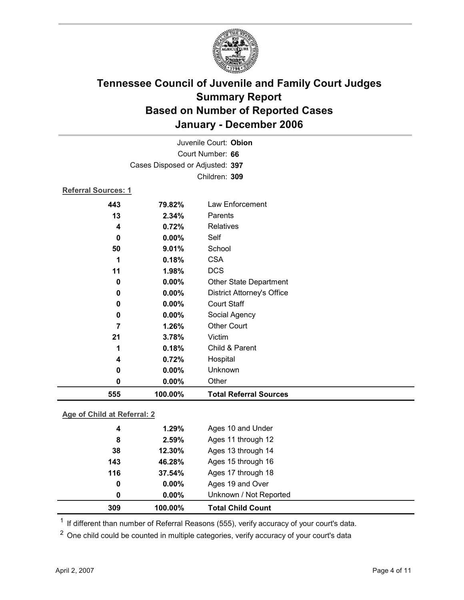

|                            | Juvenile Court: Obion           |                                   |  |  |  |
|----------------------------|---------------------------------|-----------------------------------|--|--|--|
| Court Number: 66           |                                 |                                   |  |  |  |
|                            | Cases Disposed or Adjusted: 397 |                                   |  |  |  |
|                            | Children: 309                   |                                   |  |  |  |
| <b>Referral Sources: 1</b> |                                 |                                   |  |  |  |
| 443                        | 79.82%                          | Law Enforcement                   |  |  |  |
| 13                         | 2.34%                           | Parents                           |  |  |  |
| 4                          | 0.72%                           | Relatives                         |  |  |  |
| $\mathbf 0$                | 0.00%                           | Self                              |  |  |  |
| 50                         | 9.01%                           | School                            |  |  |  |
| 1                          | 0.18%                           | <b>CSA</b>                        |  |  |  |
| 11                         | 1.98%                           | <b>DCS</b>                        |  |  |  |
| 0                          | 0.00%                           | <b>Other State Department</b>     |  |  |  |
| 0                          | 0.00%                           | <b>District Attorney's Office</b> |  |  |  |
| 0                          | 0.00%                           | <b>Court Staff</b>                |  |  |  |
| $\mathbf 0$                | 0.00%                           | Social Agency                     |  |  |  |
| 7                          | 1.26%                           | <b>Other Court</b>                |  |  |  |
| 21                         | 3.78%                           | Victim                            |  |  |  |
| 1                          | 0.18%                           | Child & Parent                    |  |  |  |
| 4                          | 0.72%                           | Hospital                          |  |  |  |
| $\bf{0}$                   | 0.00%                           | Unknown                           |  |  |  |
| $\mathbf 0$                | 0.00%                           | Other                             |  |  |  |
| 555                        | 100.00%                         | <b>Total Referral Sources</b>     |  |  |  |
|                            |                                 |                                   |  |  |  |

### **Age of Child at Referral: 2**

| 309 | 100.00%       | <b>Total Child Count</b> |
|-----|---------------|--------------------------|
|     | $0.00\%$<br>0 | Unknown / Not Reported   |
|     | $0.00\%$<br>0 | Ages 19 and Over         |
| 116 | 37.54%        | Ages 17 through 18       |
|     | 143<br>46.28% | Ages 15 through 16       |
|     | 12.30%<br>38  | Ages 13 through 14       |
|     | 2.59%<br>8    | Ages 11 through 12       |
|     | 1.29%<br>4    | Ages 10 and Under        |
|     |               |                          |

 $1$  If different than number of Referral Reasons (555), verify accuracy of your court's data.

<sup>2</sup> One child could be counted in multiple categories, verify accuracy of your court's data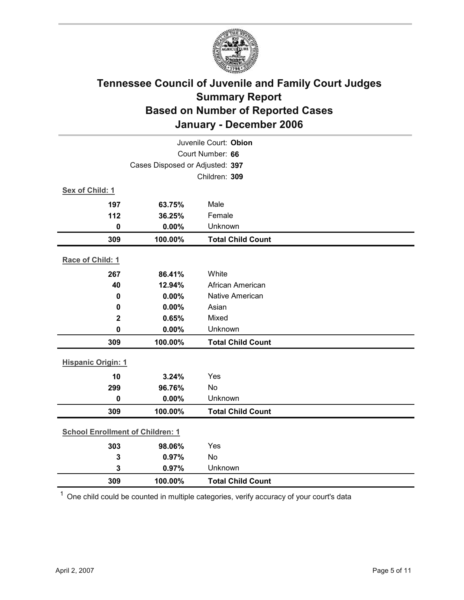

| Juvenile Court: Obion                   |                                 |                          |  |  |
|-----------------------------------------|---------------------------------|--------------------------|--|--|
| Court Number: 66                        |                                 |                          |  |  |
|                                         | Cases Disposed or Adjusted: 397 |                          |  |  |
|                                         |                                 | Children: 309            |  |  |
| Sex of Child: 1                         |                                 |                          |  |  |
| 197                                     | 63.75%                          | Male                     |  |  |
| 112                                     | 36.25%                          | Female                   |  |  |
| $\mathbf 0$                             | 0.00%                           | Unknown                  |  |  |
| 309                                     | 100.00%                         | <b>Total Child Count</b> |  |  |
| Race of Child: 1                        |                                 |                          |  |  |
| 267                                     | 86.41%                          | White                    |  |  |
| 40                                      | 12.94%                          | African American         |  |  |
| $\mathbf 0$                             | 0.00%                           | <b>Native American</b>   |  |  |
| 0                                       | 0.00%                           | Asian                    |  |  |
| $\mathbf{2}$                            | 0.65%                           | Mixed                    |  |  |
| $\mathbf 0$                             | 0.00%                           | Unknown                  |  |  |
| 309                                     | 100.00%                         | <b>Total Child Count</b> |  |  |
| <b>Hispanic Origin: 1</b>               |                                 |                          |  |  |
| 10                                      | 3.24%                           | Yes                      |  |  |
| 299                                     | 96.76%                          | No                       |  |  |
| $\mathbf 0$                             | 0.00%                           | Unknown                  |  |  |
| 309                                     | 100.00%                         | <b>Total Child Count</b> |  |  |
| <b>School Enrollment of Children: 1</b> |                                 |                          |  |  |
| 303                                     | 98.06%                          | Yes                      |  |  |
| 3                                       | 0.97%                           | No                       |  |  |
| 3                                       | 0.97%                           | Unknown                  |  |  |
| 309                                     | 100.00%                         | <b>Total Child Count</b> |  |  |

 $1$  One child could be counted in multiple categories, verify accuracy of your court's data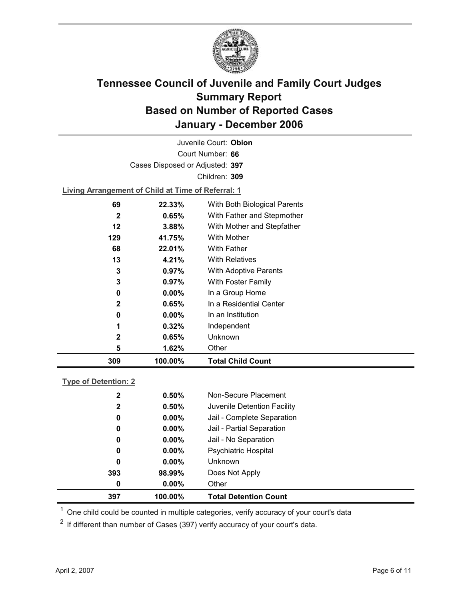

Court Number: **66** Juvenile Court: **Obion** Cases Disposed or Adjusted: **397** Children: **309 Living Arrangement of Child at Time of Referral: 1**

| 309          | 100.00%  | <b>Total Child Count</b>     |
|--------------|----------|------------------------------|
| 5            | 1.62%    | Other                        |
| $\mathbf{2}$ | 0.65%    | Unknown                      |
| 1            | 0.32%    | Independent                  |
| 0            | $0.00\%$ | In an Institution            |
| $\mathbf{2}$ | 0.65%    | In a Residential Center      |
| 0            | $0.00\%$ | In a Group Home              |
| 3            | 0.97%    | With Foster Family           |
| 3            | $0.97\%$ | <b>With Adoptive Parents</b> |
| 13           | 4.21%    | <b>With Relatives</b>        |
| 68           | 22.01%   | With Father                  |
| 129          | 41.75%   | With Mother                  |
| 12           | 3.88%    | With Mother and Stepfather   |
| 2            | 0.65%    | With Father and Stepmother   |
| 69           | 22.33%   | With Both Biological Parents |
|              |          |                              |

### **Type of Detention: 2**

| 397          | 100.00%  | <b>Total Detention Count</b> |
|--------------|----------|------------------------------|
| 0            | $0.00\%$ | Other                        |
| 393          | 98.99%   | Does Not Apply               |
| 0            | $0.00\%$ | <b>Unknown</b>               |
| 0            | $0.00\%$ | <b>Psychiatric Hospital</b>  |
| 0            | $0.00\%$ | Jail - No Separation         |
| 0            | $0.00\%$ | Jail - Partial Separation    |
| 0            | $0.00\%$ | Jail - Complete Separation   |
| $\mathbf{2}$ | 0.50%    | Juvenile Detention Facility  |
| $\mathbf 2$  | 0.50%    | Non-Secure Placement         |
|              |          |                              |

 $<sup>1</sup>$  One child could be counted in multiple categories, verify accuracy of your court's data</sup>

 $2$  If different than number of Cases (397) verify accuracy of your court's data.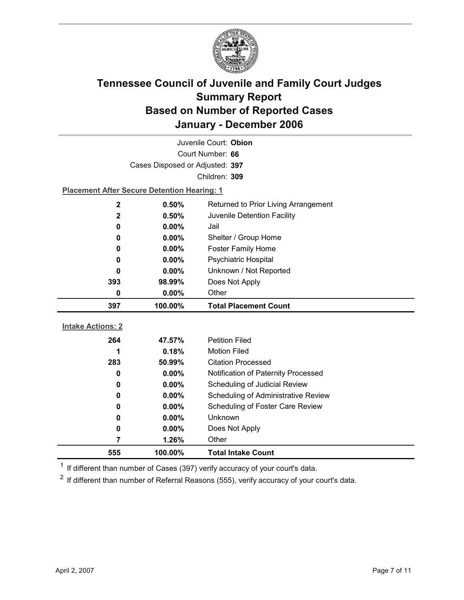

| Juvenile Court: Obion    |                                                    |                                      |  |  |
|--------------------------|----------------------------------------------------|--------------------------------------|--|--|
| Court Number: 66         |                                                    |                                      |  |  |
|                          | Cases Disposed or Adjusted: 397                    |                                      |  |  |
|                          |                                                    | Children: 309                        |  |  |
|                          | <b>Placement After Secure Detention Hearing: 1</b> |                                      |  |  |
| $\mathbf 2$              | 0.50%                                              | Returned to Prior Living Arrangement |  |  |
| $\mathbf 2$              | 0.50%                                              | Juvenile Detention Facility          |  |  |
| 0                        | $0.00\%$                                           | Jail                                 |  |  |
| 0                        | 0.00%                                              | Shelter / Group Home                 |  |  |
| 0                        | 0.00%                                              | <b>Foster Family Home</b>            |  |  |
| 0                        | $0.00\%$                                           | <b>Psychiatric Hospital</b>          |  |  |
| 0                        | $0.00\%$                                           | Unknown / Not Reported               |  |  |
| 393                      | 98.99%                                             | Does Not Apply                       |  |  |
| 0                        | 0.00%                                              | Other                                |  |  |
|                          |                                                    |                                      |  |  |
| 397                      | 100.00%                                            | <b>Total Placement Count</b>         |  |  |
|                          |                                                    |                                      |  |  |
| <b>Intake Actions: 2</b> |                                                    |                                      |  |  |
| 264                      | 47.57%                                             | <b>Petition Filed</b>                |  |  |
| 1                        | 0.18%                                              | <b>Motion Filed</b>                  |  |  |
| 283                      | 50.99%                                             | <b>Citation Processed</b>            |  |  |
| 0                        | $0.00\%$                                           | Notification of Paternity Processed  |  |  |
| 0                        | 0.00%                                              | Scheduling of Judicial Review        |  |  |
| 0                        | 0.00%                                              | Scheduling of Administrative Review  |  |  |
| 0                        | $0.00\%$                                           | Scheduling of Foster Care Review     |  |  |
| 0                        | $0.00\%$                                           | Unknown                              |  |  |
| 0                        | 0.00%                                              | Does Not Apply                       |  |  |
| 7                        | 1.26%                                              | Other                                |  |  |

 $1$  If different than number of Cases (397) verify accuracy of your court's data.

 $2$  If different than number of Referral Reasons (555), verify accuracy of your court's data.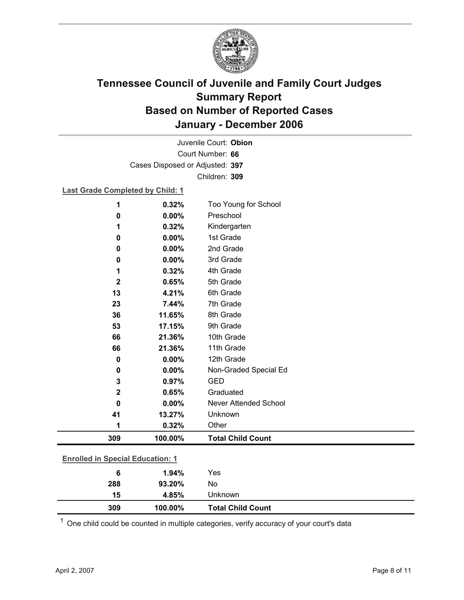

Court Number: **66** Juvenile Court: **Obion** Cases Disposed or Adjusted: **397** Children: **309**

### **Last Grade Completed by Child: 1**

| 1                                       | 0.32%   | Too Young for School         |
|-----------------------------------------|---------|------------------------------|
| 0                                       | 0.00%   | Preschool                    |
| 1                                       | 0.32%   | Kindergarten                 |
| 0                                       | 0.00%   | 1st Grade                    |
| 0                                       | 0.00%   | 2nd Grade                    |
| 0                                       | 0.00%   | 3rd Grade                    |
| 1                                       | 0.32%   | 4th Grade                    |
| 2                                       | 0.65%   | 5th Grade                    |
| 13                                      | 4.21%   | 6th Grade                    |
| 23                                      | 7.44%   | 7th Grade                    |
| 36                                      | 11.65%  | 8th Grade                    |
| 53                                      | 17.15%  | 9th Grade                    |
| 66                                      | 21.36%  | 10th Grade                   |
| 66                                      | 21.36%  | 11th Grade                   |
| $\mathbf 0$                             | 0.00%   | 12th Grade                   |
| 0                                       | 0.00%   | Non-Graded Special Ed        |
| 3                                       | 0.97%   | <b>GED</b>                   |
| $\mathbf 2$                             | 0.65%   | Graduated                    |
| 0                                       | 0.00%   | <b>Never Attended School</b> |
| 41                                      | 13.27%  | Unknown                      |
| 1                                       | 0.32%   | Other                        |
| 309                                     | 100.00% | <b>Total Child Count</b>     |
|                                         |         |                              |
| <b>Enrolled in Special Education: 1</b> |         |                              |
| 6                                       | 1.94%   | Yes                          |

| 288 | 93.20%  | No                       |
|-----|---------|--------------------------|
| 15  | 4.85%   | Jnknown.                 |
| 309 | 100.00% | <b>Total Child Count</b> |

 $1$  One child could be counted in multiple categories, verify accuracy of your court's data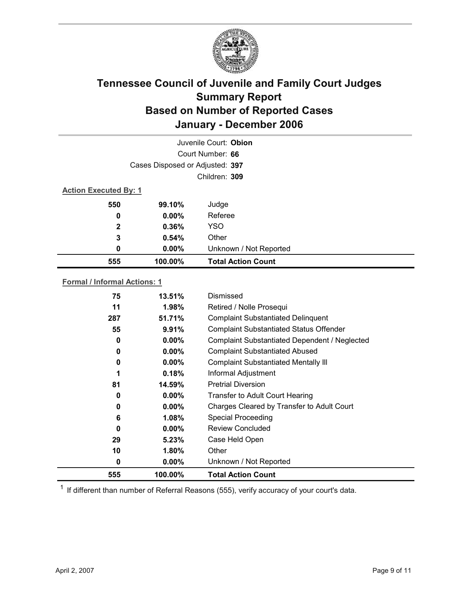

| Juvenile Court: Obion           |                              |                           |  |  |  |
|---------------------------------|------------------------------|---------------------------|--|--|--|
| Court Number: 66                |                              |                           |  |  |  |
| Cases Disposed or Adjusted: 397 |                              |                           |  |  |  |
|                                 | Children: 309                |                           |  |  |  |
|                                 | <b>Action Executed By: 1</b> |                           |  |  |  |
| 550                             | 99.10%                       | Judge                     |  |  |  |
| 0                               | $0.00\%$                     | Referee                   |  |  |  |
| 2                               | 0.36%                        | <b>YSO</b>                |  |  |  |
| 3                               | 0.54%                        | Other                     |  |  |  |
| 0                               | $0.00\%$                     | Unknown / Not Reported    |  |  |  |
| 555                             | 100.00%                      | <b>Total Action Count</b> |  |  |  |

### **Formal / Informal Actions: 1**

| 75  | 13.51%   | Dismissed                                      |
|-----|----------|------------------------------------------------|
| 11  | 1.98%    | Retired / Nolle Prosequi                       |
| 287 | 51.71%   | <b>Complaint Substantiated Delinquent</b>      |
| 55  | 9.91%    | <b>Complaint Substantiated Status Offender</b> |
| 0   | $0.00\%$ | Complaint Substantiated Dependent / Neglected  |
| 0   | $0.00\%$ | <b>Complaint Substantiated Abused</b>          |
| 0   | $0.00\%$ | <b>Complaint Substantiated Mentally III</b>    |
| 1   | 0.18%    | Informal Adjustment                            |
| 81  | 14.59%   | <b>Pretrial Diversion</b>                      |
| 0   | $0.00\%$ | Transfer to Adult Court Hearing                |
| 0   | $0.00\%$ | Charges Cleared by Transfer to Adult Court     |
| 6   | 1.08%    | <b>Special Proceeding</b>                      |
| 0   | $0.00\%$ | <b>Review Concluded</b>                        |
| 29  | 5.23%    | Case Held Open                                 |
| 10  | $1.80\%$ | Other                                          |
| 0   | $0.00\%$ | Unknown / Not Reported                         |
| 555 | 100.00%  | <b>Total Action Count</b>                      |

 $1$  If different than number of Referral Reasons (555), verify accuracy of your court's data.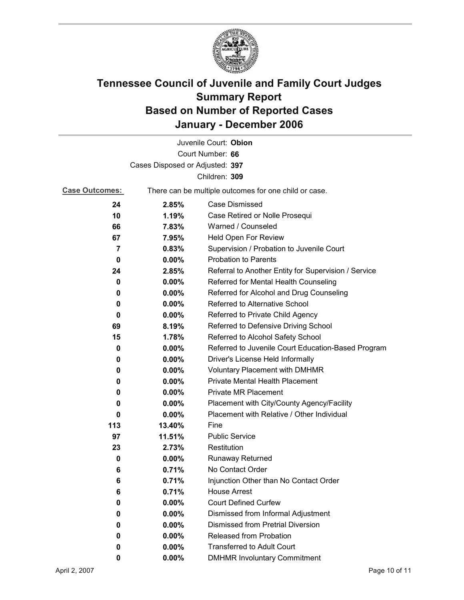

|                                 |                                                       | Juvenile Court: Obion                                |  |  |
|---------------------------------|-------------------------------------------------------|------------------------------------------------------|--|--|
|                                 |                                                       | Court Number: 66                                     |  |  |
| Cases Disposed or Adjusted: 397 |                                                       |                                                      |  |  |
|                                 |                                                       | Children: 309                                        |  |  |
| <b>Case Outcomes:</b>           | There can be multiple outcomes for one child or case. |                                                      |  |  |
| 24                              | 2.85%                                                 | Case Dismissed                                       |  |  |
| 10                              | 1.19%                                                 | Case Retired or Nolle Prosequi                       |  |  |
| 66                              | 7.83%                                                 | Warned / Counseled                                   |  |  |
| 67                              | 7.95%                                                 | Held Open For Review                                 |  |  |
| 7                               | 0.83%                                                 | Supervision / Probation to Juvenile Court            |  |  |
| 0                               | $0.00\%$                                              | <b>Probation to Parents</b>                          |  |  |
| 24                              | 2.85%                                                 | Referral to Another Entity for Supervision / Service |  |  |
| 0                               | $0.00\%$                                              | Referred for Mental Health Counseling                |  |  |
| 0                               | $0.00\%$                                              | Referred for Alcohol and Drug Counseling             |  |  |
| 0                               | 0.00%                                                 | <b>Referred to Alternative School</b>                |  |  |
| 0                               | $0.00\%$                                              | Referred to Private Child Agency                     |  |  |
| 69                              | 8.19%                                                 | Referred to Defensive Driving School                 |  |  |
| 15                              | 1.78%                                                 | Referred to Alcohol Safety School                    |  |  |
| 0                               | $0.00\%$                                              | Referred to Juvenile Court Education-Based Program   |  |  |
| 0                               | $0.00\%$                                              | Driver's License Held Informally                     |  |  |
| 0                               | $0.00\%$                                              | <b>Voluntary Placement with DMHMR</b>                |  |  |
| 0                               | $0.00\%$                                              | <b>Private Mental Health Placement</b>               |  |  |
| 0                               | $0.00\%$                                              | <b>Private MR Placement</b>                          |  |  |
| 0                               | $0.00\%$                                              | Placement with City/County Agency/Facility           |  |  |
| 0                               | 0.00%                                                 | Placement with Relative / Other Individual           |  |  |
| 113                             | 13.40%                                                | Fine                                                 |  |  |
| 97                              | 11.51%                                                | <b>Public Service</b>                                |  |  |
| 23                              | 2.73%                                                 | Restitution                                          |  |  |
| 0                               | $0.00\%$                                              | <b>Runaway Returned</b>                              |  |  |
| 6                               | 0.71%                                                 | No Contact Order                                     |  |  |
| 6                               | 0.71%                                                 | Injunction Other than No Contact Order               |  |  |
| 6                               | 0.71%                                                 | <b>House Arrest</b>                                  |  |  |
| 0                               | 0.00%                                                 | <b>Court Defined Curfew</b>                          |  |  |
| 0                               | 0.00%                                                 | Dismissed from Informal Adjustment                   |  |  |
| 0                               | $0.00\%$                                              | <b>Dismissed from Pretrial Diversion</b>             |  |  |
| 0                               | 0.00%                                                 | Released from Probation                              |  |  |
| 0                               | $0.00\%$                                              | <b>Transferred to Adult Court</b>                    |  |  |
| 0                               | 0.00%                                                 | <b>DMHMR Involuntary Commitment</b>                  |  |  |